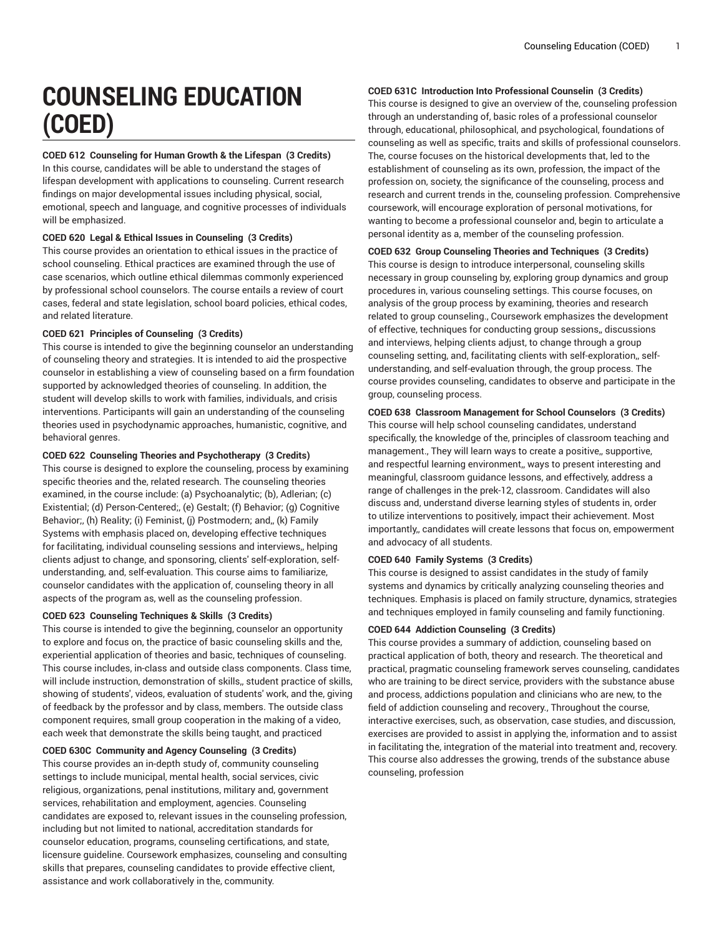# **COUNSELING EDUCATION (COED)**

# **COED 612 Counseling for Human Growth & the Lifespan (3 Credits)**

In this course, candidates will be able to understand the stages of lifespan development with applications to counseling. Current research findings on major developmental issues including physical, social, emotional, speech and language, and cognitive processes of individuals will be emphasized.

# **COED 620 Legal & Ethical Issues in Counseling (3 Credits)**

This course provides an orientation to ethical issues in the practice of school counseling. Ethical practices are examined through the use of case scenarios, which outline ethical dilemmas commonly experienced by professional school counselors. The course entails a review of court cases, federal and state legislation, school board policies, ethical codes, and related literature.

# **COED 621 Principles of Counseling (3 Credits)**

This course is intended to give the beginning counselor an understanding of counseling theory and strategies. It is intended to aid the prospective counselor in establishing a view of counseling based on a firm foundation supported by acknowledged theories of counseling. In addition, the student will develop skills to work with families, individuals, and crisis interventions. Participants will gain an understanding of the counseling theories used in psychodynamic approaches, humanistic, cognitive, and behavioral genres.

# **COED 622 Counseling Theories and Psychotherapy (3 Credits)**

This course is designed to explore the counseling, process by examining specific theories and the, related research. The counseling theories examined, in the course include: (a) Psychoanalytic; (b), Adlerian; (c) Existential; (d) Person-Centered;, (e) Gestalt; (f) Behavior; (g) Cognitive Behavior;, (h) Reality; (i) Feminist, (j) Postmodern; and,, (k) Family Systems with emphasis placed on, developing effective techniques for facilitating, individual counseling sessions and interviews,, helping clients adjust to change, and sponsoring, clients' self-exploration, selfunderstanding, and, self-evaluation. This course aims to familiarize, counselor candidates with the application of, counseling theory in all aspects of the program as, well as the counseling profession.

### **COED 623 Counseling Techniques & Skills (3 Credits)**

This course is intended to give the beginning, counselor an opportunity to explore and focus on, the practice of basic counseling skills and the, experiential application of theories and basic, techniques of counseling. This course includes, in-class and outside class components. Class time, will include instruction, demonstration of skills,, student practice of skills, showing of students', videos, evaluation of students' work, and the, giving of feedback by the professor and by class, members. The outside class component requires, small group cooperation in the making of a video, each week that demonstrate the skills being taught, and practiced

#### **COED 630C Community and Agency Counseling (3 Credits)**

This course provides an in-depth study of, community counseling settings to include municipal, mental health, social services, civic religious, organizations, penal institutions, military and, government services, rehabilitation and employment, agencies. Counseling candidates are exposed to, relevant issues in the counseling profession, including but not limited to national, accreditation standards for counselor education, programs, counseling certifications, and state, licensure guideline. Coursework emphasizes, counseling and consulting skills that prepares, counseling candidates to provide effective client, assistance and work collaboratively in the, community.

# **COED 631C Introduction Into Professional Counselin (3 Credits)**

This course is designed to give an overview of the, counseling profession through an understanding of, basic roles of a professional counselor through, educational, philosophical, and psychological, foundations of counseling as well as specific, traits and skills of professional counselors. The, course focuses on the historical developments that, led to the establishment of counseling as its own, profession, the impact of the profession on, society, the significance of the counseling, process and research and current trends in the, counseling profession. Comprehensive coursework, will encourage exploration of personal motivations, for wanting to become a professional counselor and, begin to articulate a personal identity as a, member of the counseling profession.

# **COED 632 Group Counseling Theories and Techniques (3 Credits)**

This course is design to introduce interpersonal, counseling skills necessary in group counseling by, exploring group dynamics and group procedures in, various counseling settings. This course focuses, on analysis of the group process by examining, theories and research related to group counseling., Coursework emphasizes the development of effective, techniques for conducting group sessions,, discussions and interviews, helping clients adjust, to change through a group counseling setting, and, facilitating clients with self-exploration,, selfunderstanding, and self-evaluation through, the group process. The course provides counseling, candidates to observe and participate in the group, counseling process.

# **COED 638 Classroom Management for School Counselors (3 Credits)**

This course will help school counseling candidates, understand specifically, the knowledge of the, principles of classroom teaching and management., They will learn ways to create a positive,, supportive, and respectful learning environment,, ways to present interesting and meaningful, classroom guidance lessons, and effectively, address a range of challenges in the prek-12, classroom. Candidates will also discuss and, understand diverse learning styles of students in, order to utilize interventions to positively, impact their achievement. Most importantly,, candidates will create lessons that focus on, empowerment and advocacy of all students.

#### **COED 640 Family Systems (3 Credits)**

This course is designed to assist candidates in the study of family systems and dynamics by critically analyzing counseling theories and techniques. Emphasis is placed on family structure, dynamics, strategies and techniques employed in family counseling and family functioning.

#### **COED 644 Addiction Counseling (3 Credits)**

This course provides a summary of addiction, counseling based on practical application of both, theory and research. The theoretical and practical, pragmatic counseling framework serves counseling, candidates who are training to be direct service, providers with the substance abuse and process, addictions population and clinicians who are new, to the field of addiction counseling and recovery., Throughout the course, interactive exercises, such, as observation, case studies, and discussion, exercises are provided to assist in applying the, information and to assist in facilitating the, integration of the material into treatment and, recovery. This course also addresses the growing, trends of the substance abuse counseling, profession